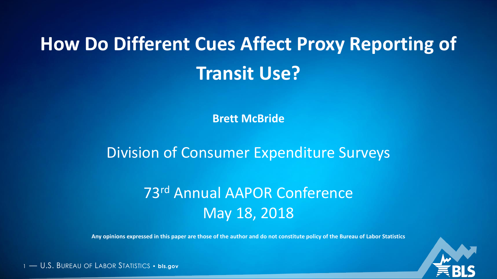# **How Do Different Cues Affect Proxy Reporting of Transit Use?**

**Brett McBride**

Division of Consumer Expenditure Surveys

## 73rd Annual AAPOR Conference May 18, 2018

**Any opinions expressed in this paper are those of the author and do not constitute policy of the Bureau of Labor Statistics**

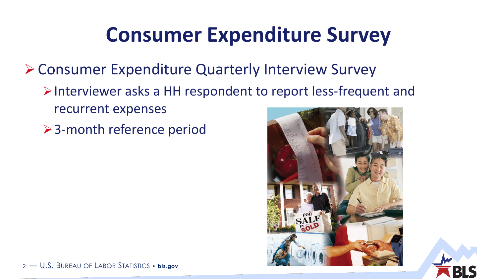# **Consumer Expenditure Survey**

**≻ Consumer Expenditure Quarterly Interview Survey** 

- $\triangleright$  Interviewer asks a HH respondent to report less-frequent and recurrent expenses
- **≻3-month reference period**

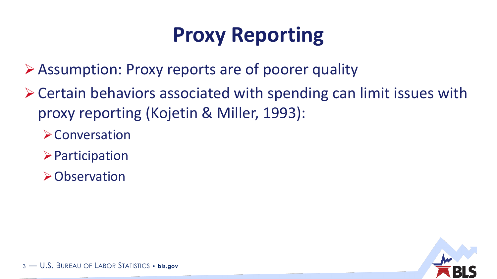# **Proxy Reporting**

Assumption: Proxy reports are of poorer quality

- Certain behaviors associated with spending can limit issues with proxy reporting (Kojetin & Miller, 1993):
	- **>Conversation**
	- $\triangleright$  Participation
	- Observation

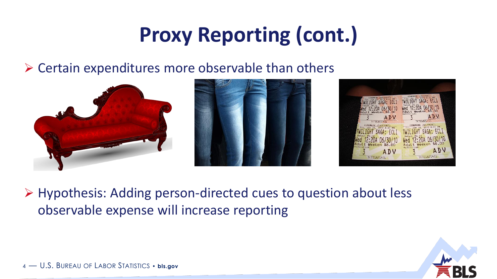# **Proxy Reporting (cont.)**

 $\triangleright$  Certain expenditures more observable than others





▶ Hypothesis: Adding person-directed cues to question about less observable expense will increase reporting

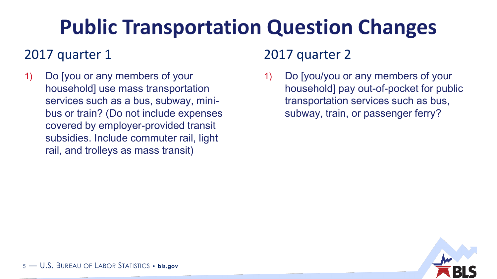# **Public Transportation Question Changes**

### 2017 quarter 1 2017 quarter 2

1) Do [you or any members of your household] use mass transportation services such as a bus, subway, minibus or train? (Do not include expenses covered by employer-provided transit subsidies. Include commuter rail, light rail, and trolleys as mass transit)

1) Do [you/you or any members of your household] pay out-of-pocket for public transportation services such as bus, subway, train, or passenger ferry?

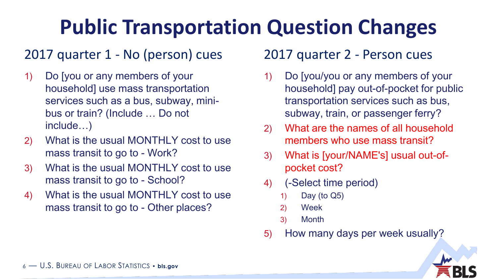# **Public Transportation Question Changes**

## 2017 quarter 1 - No (person) cues 2017 quarter 2 - Person cues

- 1) Do [you or any members of your household] use mass transportation services such as a bus, subway, minibus or train? (Include … Do not include…)
- 2) What is the usual MONTHLY cost to use mass transit to go to - Work?
- 3) What is the usual MONTHLY cost to use mass transit to go to - School?
- 4) What is the usual MONTHLY cost to use mass transit to go to - Other places?

- 1) Do [you/you or any members of your household] pay out-of-pocket for public transportation services such as bus, subway, train, or passenger ferry?
- 2) What are the names of all household members who use mass transit?
- 3) What is [your/NAME's] usual out-ofpocket cost?
- 4) (-Select time period)
	- 1) Day (to Q5)
	- 2) Week
	- 3) Month
- 5) How many days per week usually?

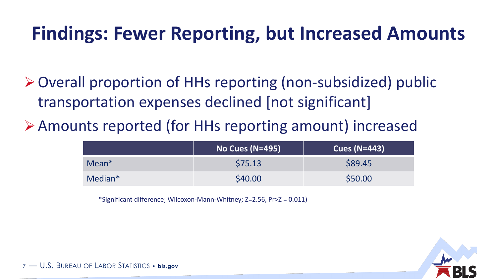## **Findings: Fewer Reporting, but Increased Amounts**

- Overall proportion of HHs reporting (non-subsidized) public transportation expenses declined [not significant]
- Amounts reported (for HHs reporting amount) increased

|         | <b>No Cues (N=495)</b> | Cues ( $N=443$ ) |
|---------|------------------------|------------------|
| $Mean*$ | \$75.13                | \$89.45          |
| Median* | \$40.00                | \$50.00          |

\*Significant difference; Wilcoxon-Mann-Whitney; Z=2.56, Pr>Z = 0.011)

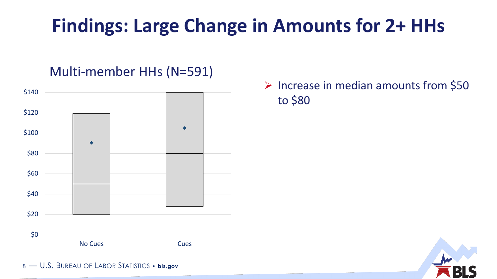## **Findings: Large Change in Amounts for 2+ HHs**

### Multi-member HHs (N=591)



 $\triangleright$  Increase in median amounts from \$50 to \$80

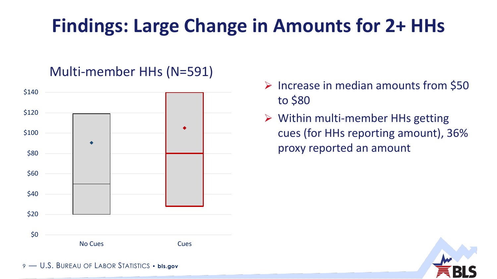## **Findings: Large Change in Amounts for 2+ HHs**

### \$140 \$120  $\bullet$ \$100 ◀ \$80 \$60 \$40 \$20 \$0 No Cues **Cues** Cues

#### Multi-member HHs (N=591)

- $\triangleright$  Increase in median amounts from \$50 to \$80
- $\triangleright$  Within multi-member HHs getting cues (for HHs reporting amount), 36% proxy reported an amount

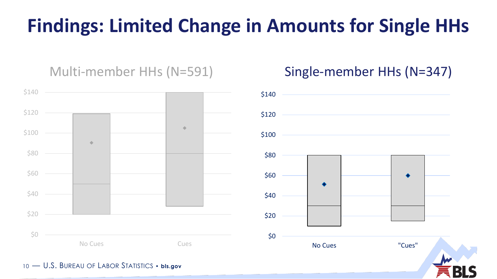## **Findings: Limited Change in Amounts for Single HHs**

### Multi-member HHs (N=591) Single-member HHs (N=347)



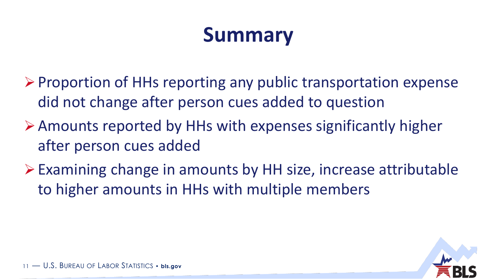# **Summary**

- $\triangleright$  Proportion of HHs reporting any public transportation expense did not change after person cues added to question
- Amounts reported by HHs with expenses significantly higher after person cues added
- $\triangleright$  Examining change in amounts by HH size, increase attributable to higher amounts in HHs with multiple members

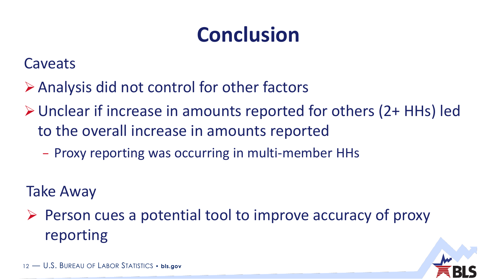# **Conclusion**

Caveats

- Analysis did not control for other factors
- Unclear if increase in amounts reported for others (2+ HHs) led to the overall increase in amounts reported
	- − Proxy reporting was occurring in multi-member HHs

Take Away

 $\triangleright$  Person cues a potential tool to improve accuracy of proxy reporting